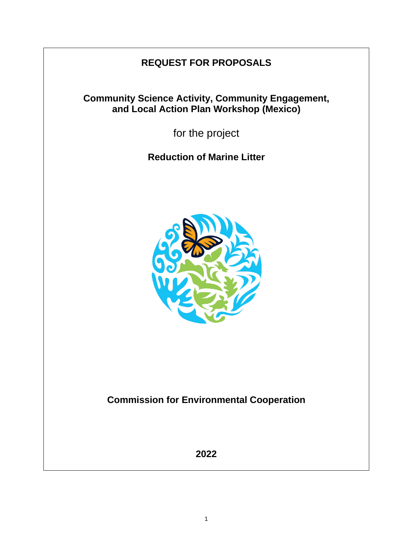# **REQUEST FOR PROPOSALS**

## **Community Science Activity, Community Engagement, and Local Action Plan Workshop (Mexico)**

for the project

**Reduction of Marine Litter**



**Commission for Environmental Cooperation**

**2022**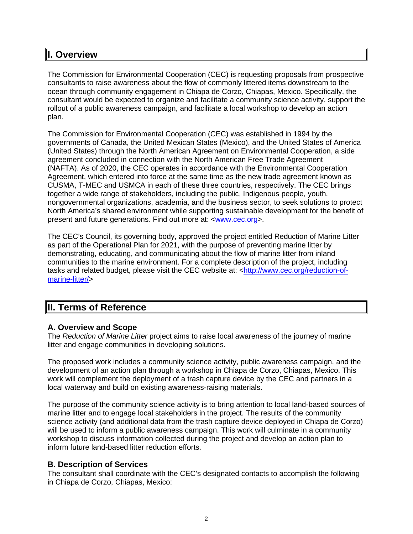## **I. Overview**

The Commission for Environmental Cooperation (CEC) is requesting proposals from prospective consultants to raise awareness about the flow of commonly littered items downstream to the ocean through community engagement in Chiapa de Corzo, Chiapas, Mexico. Specifically, the consultant would be expected to organize and facilitate a community science activity, support the rollout of a public awareness campaign, and facilitate a local workshop to develop an action plan.

The Commission for Environmental Cooperation (CEC) was established in 1994 by the governments of Canada, the United Mexican States (Mexico), and the United States of America (United States) through the North American Agreement on Environmental Cooperation, a side agreement concluded in connection with the North American Free Trade Agreement (NAFTA). As of 2020, the CEC operates in accordance with the Environmental Cooperation Agreement, which entered into force at the same time as the new trade agreement known as CUSMA, T-MEC and USMCA in each of these three countries, respectively. The CEC brings together a wide range of stakeholders, including the public, Indigenous people, youth, nongovernmental organizations, academia, and the business sector, to seek solutions to protect North America's shared environment while supporting sustainable development for the benefit of present and future generations*.* Find out more at: [<www.cec.org>](http://www.cec.org/).

The CEC's Council, its governing body, approved the project entitled Reduction of Marine Litter as part of the Operational Plan for 2021, with the purpose of preventing marine litter by demonstrating, educating, and communicating about the flow of marine litter from inland communities to the marine environment. For a complete description of the project, including tasks and related budget, please visit the CEC website at: [<http://www.cec.org/reduction-of](http://www.cec.org/reduction-of-marine-litter/)[marine-litter/>](http://www.cec.org/reduction-of-marine-litter/)

## **II. Terms of Reference**

## **A. Overview and Scope**

The *Reduction of Marine Litter* project aims to raise local awareness of the journey of marine litter and engage communities in developing solutions.

The proposed work includes a community science activity, public awareness campaign, and the development of an action plan through a workshop in Chiapa de Corzo, Chiapas, Mexico. This work will complement the deployment of a trash capture device by the CEC and partners in a local waterway and build on existing awareness-raising materials.

The purpose of the community science activity is to bring attention to local land-based sources of marine litter and to engage local stakeholders in the project. The results of the community science activity (and additional data from the trash capture device deployed in Chiapa de Corzo) will be used to inform a public awareness campaign. This work will culminate in a community workshop to discuss information collected during the project and develop an action plan to inform future land-based litter reduction efforts.

## **B. Description of Services**

The consultant shall coordinate with the CEC's designated contacts to accomplish the following in Chiapa de Corzo, Chiapas, Mexico: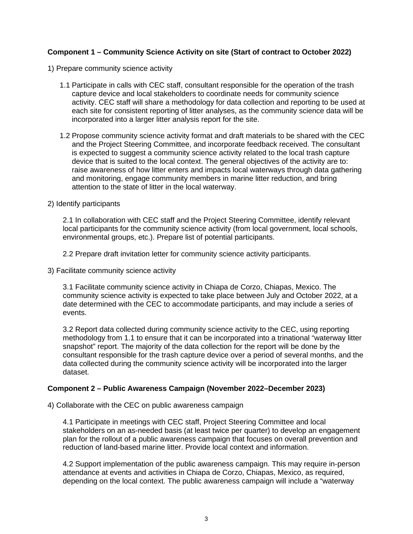#### **Component 1 – Community Science Activity on site (Start of contract to October 2022)**

- 1) Prepare community science activity
	- 1.1 Participate in calls with CEC staff, consultant responsible for the operation of the trash capture device and local stakeholders to coordinate needs for community science activity. CEC staff will share a methodology for data collection and reporting to be used at each site for consistent reporting of litter analyses, as the community science data will be incorporated into a larger litter analysis report for the site.
	- 1.2 Propose community science activity format and draft materials to be shared with the CEC and the Project Steering Committee, and incorporate feedback received. The consultant is expected to suggest a community science activity related to the local trash capture device that is suited to the local context. The general objectives of the activity are to: raise awareness of how litter enters and impacts local waterways through data gathering and monitoring, engage community members in marine litter reduction, and bring attention to the state of litter in the local waterway.
- 2) Identify participants

2.1 In collaboration with CEC staff and the Project Steering Committee, identify relevant local participants for the community science activity (from local government, local schools, environmental groups, etc.). Prepare list of potential participants.

2.2 Prepare draft invitation letter for community science activity participants.

3) Facilitate community science activity

3.1 Facilitate community science activity in Chiapa de Corzo, Chiapas, Mexico. The community science activity is expected to take place between July and October 2022, at a date determined with the CEC to accommodate participants, and may include a series of events.

3.2 Report data collected during community science activity to the CEC, using reporting methodology from 1.1 to ensure that it can be incorporated into a trinational "waterway litter snapshot" report. The majority of the data collection for the report will be done by the consultant responsible for the trash capture device over a period of several months, and the data collected during the community science activity will be incorporated into the larger dataset.

#### **Component 2 – Public Awareness Campaign (November 2022–December 2023)**

4) Collaborate with the CEC on public awareness campaign

4.1 Participate in meetings with CEC staff, Project Steering Committee and local stakeholders on an as-needed basis (at least twice per quarter) to develop an engagement plan for the rollout of a public awareness campaign that focuses on overall prevention and reduction of land-based marine litter. Provide local context and information.

4.2 Support implementation of the public awareness campaign. This may require in-person attendance at events and activities in Chiapa de Corzo, Chiapas, Mexico, as required, depending on the local context. The public awareness campaign will include a "waterway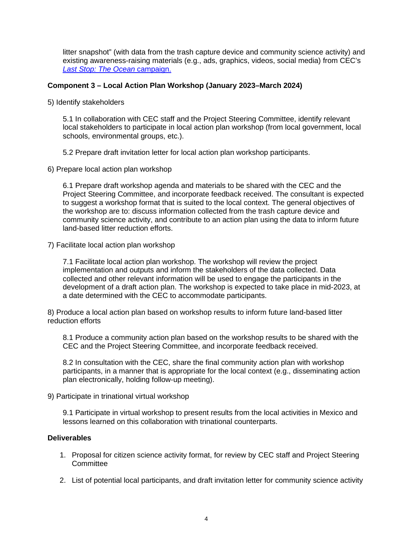litter snapshot" (with data from the trash capture device and community science activity) and existing awareness-raising materials (e.g., ads, graphics, videos, social media) from CEC's *[Last Stop: The Ocean](http://www.laststoptheocean.com/)* [campaign.](http://www.laststoptheocean.com/)

#### **Component 3 – Local Action Plan Workshop (January 2023–March 2024)**

5) Identify stakeholders

5.1 In collaboration with CEC staff and the Project Steering Committee, identify relevant local stakeholders to participate in local action plan workshop (from local government, local schools, environmental groups, etc.).

- 5.2 Prepare draft invitation letter for local action plan workshop participants.
- 6) Prepare local action plan workshop

6.1 Prepare draft workshop agenda and materials to be shared with the CEC and the Project Steering Committee, and incorporate feedback received. The consultant is expected to suggest a workshop format that is suited to the local context. The general objectives of the workshop are to: discuss information collected from the trash capture device and community science activity, and contribute to an action plan using the data to inform future land-based litter reduction efforts.

7) Facilitate local action plan workshop

7.1 Facilitate local action plan workshop. The workshop will review the project implementation and outputs and inform the stakeholders of the data collected. Data collected and other relevant information will be used to engage the participants in the development of a draft action plan. The workshop is expected to take place in mid-2023, at a date determined with the CEC to accommodate participants.

8) Produce a local action plan based on workshop results to inform future land-based litter reduction efforts

8.1 Produce a community action plan based on the workshop results to be shared with the CEC and the Project Steering Committee, and incorporate feedback received.

8.2 In consultation with the CEC, share the final community action plan with workshop participants, in a manner that is appropriate for the local context (e.g., disseminating action plan electronically, holding follow-up meeting).

9) Participate in trinational virtual workshop

9.1 Participate in virtual workshop to present results from the local activities in Mexico and lessons learned on this collaboration with trinational counterparts.

#### **Deliverables**

- 1. Proposal for citizen science activity format, for review by CEC staff and Project Steering **Committee**
- 2. List of potential local participants, and draft invitation letter for community science activity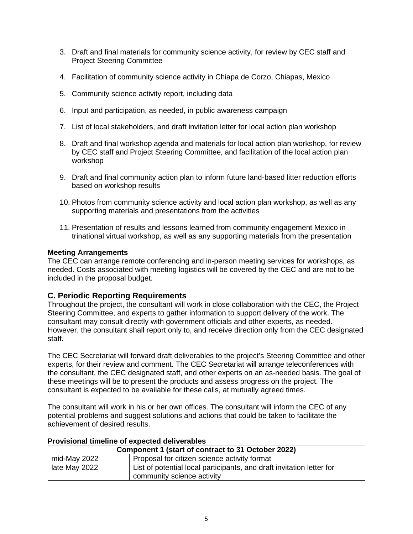- 3. Draft and final materials for community science activity, for review by CEC staff and Project Steering Committee
- 4. Facilitation of community science activity in Chiapa de Corzo, Chiapas, Mexico
- 5. Community science activity report, including data
- 6. Input and participation, as needed, in public awareness campaign
- 7. List of local stakeholders, and draft invitation letter for local action plan workshop
- 8. Draft and final workshop agenda and materials for local action plan workshop, for review by CEC staff and Project Steering Committee, and facilitation of the local action plan workshop
- 9. Draft and final community action plan to inform future land-based litter reduction efforts based on workshop results
- 10. Photos from community science activity and local action plan workshop, as well as any supporting materials and presentations from the activities
- 11. Presentation of results and lessons learned from community engagement Mexico in trinational virtual workshop, as well as any supporting materials from the presentation

#### **Meeting Arrangements**

The CEC can arrange remote conferencing and in-person meeting services for workshops, as needed. Costs associated with meeting logistics will be covered by the CEC and are not to be included in the proposal budget.

## **C. Periodic Reporting Requirements**

Throughout the project, the consultant will work in close collaboration with the CEC, the Project Steering Committee, and experts to gather information to support delivery of the work. The consultant may consult directly with government officials and other experts, as needed. However, the consultant shall report only to, and receive direction only from the CEC designated staff.

The CEC Secretariat will forward draft deliverables to the project's Steering Committee and other experts, for their review and comment. The CEC Secretariat will arrange teleconferences with the consultant, the CEC designated staff, and other experts on an as-needed basis. The goal of these meetings will be to present the products and assess progress on the project. The consultant is expected to be available for these calls, at mutually agreed times.

The consultant will work in his or her own offices. The consultant will inform the CEC of any potential problems and suggest solutions and actions that could be taken to facilitate the achievement of desired results.

| <u>I TOVISIONIAI MINGINIG OF GADGOLGA AGITYGLADIGS</u> |                                                                       |  |
|--------------------------------------------------------|-----------------------------------------------------------------------|--|
| Component 1 (start of contract to 31 October 2022)     |                                                                       |  |
| mid-May 2022                                           | Proposal for citizen science activity format                          |  |
| late May 2022                                          | List of potential local participants, and draft invitation letter for |  |
|                                                        | community science activity                                            |  |

#### **Provisional timeline of expected deliverables**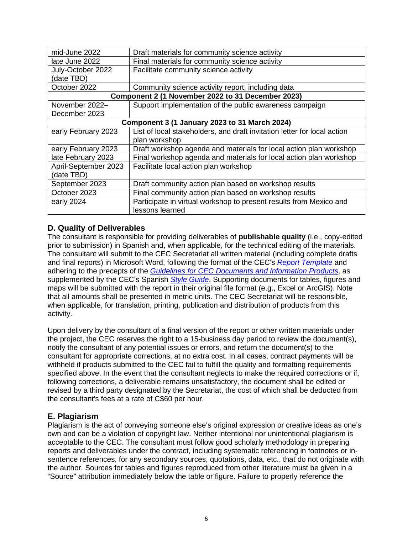| mid-June 2022                                     | Draft materials for community science activity                           |  |  |
|---------------------------------------------------|--------------------------------------------------------------------------|--|--|
| late June 2022                                    | Final materials for community science activity                           |  |  |
| July-October 2022                                 | Facilitate community science activity                                    |  |  |
| (date TBD)                                        |                                                                          |  |  |
| October 2022                                      | Community science activity report, including data                        |  |  |
| Component 2 (1 November 2022 to 31 December 2023) |                                                                          |  |  |
| November 2022-                                    | Support implementation of the public awareness campaign                  |  |  |
| December 2023                                     |                                                                          |  |  |
| Component 3 (1 January 2023 to 31 March 2024)     |                                                                          |  |  |
| early February 2023                               | List of local stakeholders, and draft invitation letter for local action |  |  |
|                                                   | plan workshop                                                            |  |  |
| early February 2023                               | Draft workshop agenda and materials for local action plan workshop       |  |  |
| late February 2023                                | Final workshop agenda and materials for local action plan workshop       |  |  |
| April-September 2023                              | Facilitate local action plan workshop                                    |  |  |
| (date TBD)                                        |                                                                          |  |  |
| September 2023                                    | Draft community action plan based on workshop results                    |  |  |
| October 2023                                      | Final community action plan based on workshop results                    |  |  |
| early 2024                                        | Participate in virtual workshop to present results from Mexico and       |  |  |
|                                                   | lessons learned                                                          |  |  |

## **D. Quality of Deliverables**

The consultant is responsible for providing deliverables of **publishable quality** (i.e., copy-edited prior to submission) in Spanish and, when applicable, for the technical editing of the materials. The consultant will submit to the CEC Secretariat all written material (including complete drafts and final reports) in Microsoft Word, following the format of the CEC's*[Report Template](http://www.cec.org/guidelines-for-cec-documents/)* and adhering to the precepts of the *[Guidelines for CEC Documents and Information Products](http://www.cec.org/guidelines-for-cec-documents/)*, as supplemented by the CEC's Spanish *[Style Guide](http://www.cec.org/es/18873_style-guide-2/)*. Supporting documents for tables, figures and maps will be submitted with the report in their original file format (e.g., Excel or ArcGIS). Note that all amounts shall be presented in metric units. The CEC Secretariat will be responsible, when applicable, for translation, printing, publication and distribution of products from this activity.

Upon delivery by the consultant of a final version of the report or other written materials under the project, the CEC reserves the right to a 15-business day period to review the document(s), notify the consultant of any potential issues or errors, and return the document(s) to the consultant for appropriate corrections, at no extra cost. In all cases, contract payments will be withheld if products submitted to the CEC fail to fulfill the quality and formatting requirements specified above. In the event that the consultant neglects to make the required corrections or if, following corrections, a deliverable remains unsatisfactory, the document shall be edited or revised by a third party designated by the Secretariat, the cost of which shall be deducted from the consultant's fees at a rate of C\$60 per hour.

## **E. Plagiarism**

Plagiarism is the act of conveying someone else's original expression or creative ideas as one's own and can be a violation of copyright law. Neither intentional nor unintentional plagiarism is acceptable to the CEC. The consultant must follow good scholarly methodology in preparing reports and deliverables under the contract, including systematic referencing in footnotes or insentence references, for any secondary sources, quotations, data, etc., that do not originate with the author. Sources for tables and figures reproduced from other literature must be given in a "Source" attribution immediately below the table or figure. Failure to properly reference the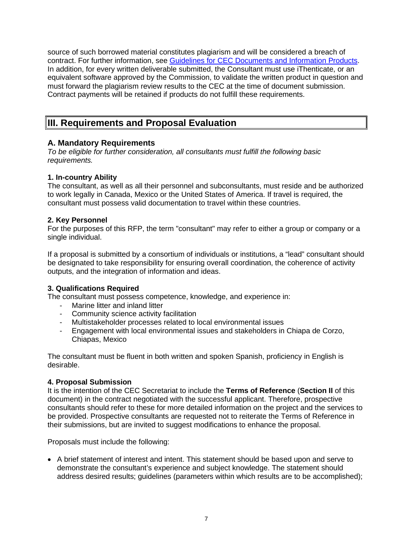source of such borrowed material constitutes plagiarism and will be considered a breach of contract. For further information, see [Guidelines for CEC Documents and Information Products.](http://www.cec.org/wp-content/uploads/guidelines-for-cec-documents.pdf) In addition, for every written deliverable submitted, the Consultant must use iThenticate, or an equivalent software approved by the Commission, to validate the written product in question and must forward the plagiarism review results to the CEC at the time of document submission. Contract payments will be retained if products do not fulfill these requirements.

## **III. Requirements and Proposal Evaluation**

#### **A. Mandatory Requirements**

*To be eligible for further consideration, all consultants must fulfill the following basic requirements.*

#### **1. In-country Ability**

The consultant, as well as all their personnel and subconsultants, must reside and be authorized to work legally in Canada, Mexico or the United States of America. If travel is required, the consultant must possess valid documentation to travel within these countries.

#### **2. Key Personnel**

For the purposes of this RFP, the term "consultant" may refer to either a group or company or a single individual.

If a proposal is submitted by a consortium of individuals or institutions, a "lead" consultant should be designated to take responsibility for ensuring overall coordination, the coherence of activity outputs, and the integration of information and ideas.

#### **3. Qualifications Required**

The consultant must possess competence, knowledge, and experience in:

- Marine litter and inland litter
- Community science activity facilitation
- Multistakeholder processes related to local environmental issues
- Engagement with local environmental issues and stakeholders in Chiapa de Corzo, Chiapas, Mexico

The consultant must be fluent in both written and spoken Spanish, proficiency in English is desirable.

#### **4. Proposal Submission**

It is the intention of the CEC Secretariat to include the **Terms of Reference** (**Section II** of this document) in the contract negotiated with the successful applicant. Therefore, prospective consultants should refer to these for more detailed information on the project and the services to be provided. Prospective consultants are requested not to reiterate the Terms of Reference in their submissions, but are invited to suggest modifications to enhance the proposal.

Proposals must include the following:

• A brief statement of interest and intent. This statement should be based upon and serve to demonstrate the consultant's experience and subject knowledge. The statement should address desired results; guidelines (parameters within which results are to be accomplished);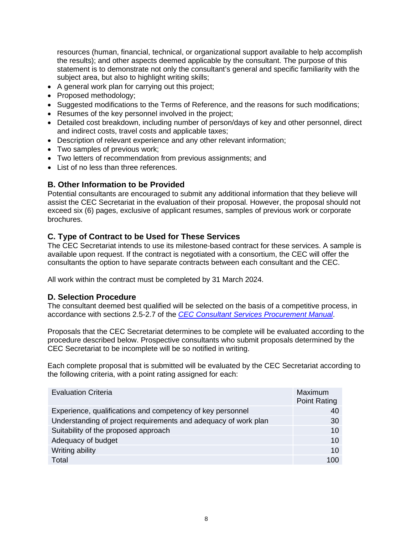resources (human, financial, technical, or organizational support available to help accomplish the results); and other aspects deemed applicable by the consultant. The purpose of this statement is to demonstrate not only the consultant's general and specific familiarity with the subject area, but also to highlight writing skills;

- A general work plan for carrying out this project;
- Proposed methodology:
- Suggested modifications to the Terms of Reference, and the reasons for such modifications;
- Resumes of the key personnel involved in the project;
- Detailed cost breakdown, including number of person/days of key and other personnel, direct and indirect costs, travel costs and applicable taxes;
- Description of relevant experience and any other relevant information;
- Two samples of previous work;
- Two letters of recommendation from previous assignments; and
- List of no less than three references.

## **B. Other Information to be Provided**

Potential consultants are encouraged to submit any additional information that they believe will assist the CEC Secretariat in the evaluation of their proposal. However, the proposal should not exceed six (6) pages, exclusive of applicant resumes, samples of previous work or corporate brochures.

## **C. Type of Contract to be Used for These Services**

The CEC Secretariat intends to use its milestone-based contract for these services. A sample is available upon request. If the contract is negotiated with a consortium, the CEC will offer the consultants the option to have separate contracts between each consultant and the CEC.

All work within the contract must be completed by 31 March 2024.

## **D. Selection Procedure**

The consultant deemed best qualified will be selected on the basis of a competitive process, in accordance with sections 2.5-2.7 of the *[CEC Consultant Services Procurement Manual](http://www.cec.org/wp-content/uploads/18890_consultant_services_procurement_manual.pdf)*.

Proposals that the CEC Secretariat determines to be complete will be evaluated according to the procedure described below. Prospective consultants who submit proposals determined by the CEC Secretariat to be incomplete will be so notified in writing.

Each complete proposal that is submitted will be evaluated by the CEC Secretariat according to the following criteria, with a point rating assigned for each:

| <b>Evaluation Criteria</b>                                      | Maximum<br><b>Point Rating</b> |
|-----------------------------------------------------------------|--------------------------------|
| Experience, qualifications and competency of key personnel      | 40                             |
| Understanding of project requirements and adequacy of work plan | 30                             |
| Suitability of the proposed approach                            | 10                             |
| Adequacy of budget                                              | 10                             |
| Writing ability                                                 | 10                             |
| Total                                                           | 100                            |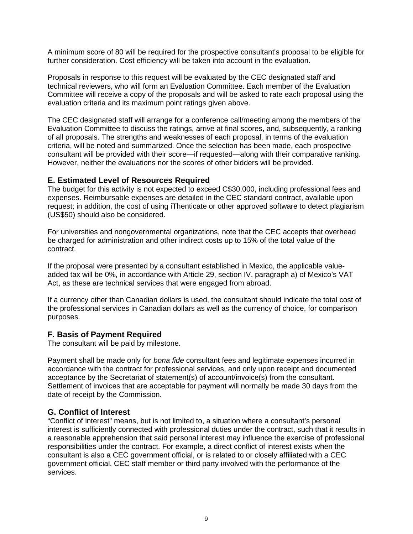A minimum score of 80 will be required for the prospective consultant's proposal to be eligible for further consideration. Cost efficiency will be taken into account in the evaluation.

Proposals in response to this request will be evaluated by the CEC designated staff and technical reviewers, who will form an Evaluation Committee. Each member of the Evaluation Committee will receive a copy of the proposals and will be asked to rate each proposal using the evaluation criteria and its maximum point ratings given above.

The CEC designated staff will arrange for a conference call/meeting among the members of the Evaluation Committee to discuss the ratings, arrive at final scores, and, subsequently, a ranking of all proposals. The strengths and weaknesses of each proposal, in terms of the evaluation criteria, will be noted and summarized. Once the selection has been made, each prospective consultant will be provided with their score—if requested—along with their comparative ranking. However, neither the evaluations nor the scores of other bidders will be provided.

#### **E. Estimated Level of Resources Required**

The budget for this activity is not expected to exceed C\$30,000, including professional fees and expenses. Reimbursable expenses are detailed in the CEC standard contract, available upon request; in addition, the cost of using iThenticate or other approved software to detect plagiarism (US\$50) should also be considered.

For universities and nongovernmental organizations, note that the CEC accepts that overhead be charged for administration and other indirect costs up to 15% of the total value of the contract.

If the proposal were presented by a consultant established in Mexico, the applicable valueadded tax will be 0%, in accordance with Article 29, section IV, paragraph a) of Mexico's VAT Act, as these are technical services that were engaged from abroad.

If a currency other than Canadian dollars is used, the consultant should indicate the total cost of the professional services in Canadian dollars as well as the currency of choice, for comparison purposes.

#### **F. Basis of Payment Required**

The consultant will be paid by milestone.

Payment shall be made only for *bona fide* consultant fees and legitimate expenses incurred in accordance with the contract for professional services, and only upon receipt and documented acceptance by the Secretariat of statement(s) of account/invoice(s) from the consultant. Settlement of invoices that are acceptable for payment will normally be made 30 days from the date of receipt by the Commission.

#### **G. Conflict of Interest**

"Conflict of interest" means, but is not limited to, a situation where a consultant's personal interest is sufficiently connected with professional duties under the contract, such that it results in a reasonable apprehension that said personal interest may influence the exercise of professional responsibilities under the contract. For example, a direct conflict of interest exists when the consultant is also a CEC government official, or is related to or closely affiliated with a CEC government official, CEC staff member or third party involved with the performance of the services.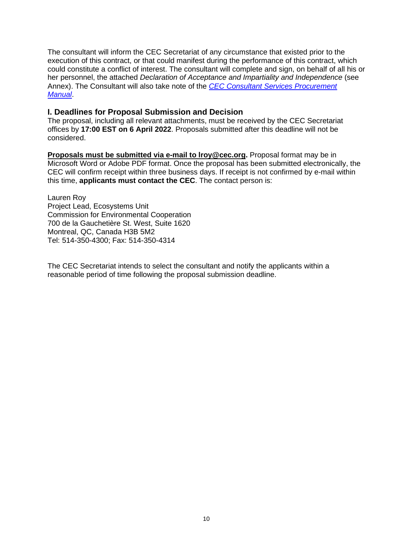The consultant will inform the CEC Secretariat of any circumstance that existed prior to the execution of this contract, or that could manifest during the performance of this contract, which could constitute a conflict of interest. The consultant will complete and sign, on behalf of all his or her personnel, the attached *Declaration of Acceptance and Impartiality and Independence* (see Annex). The Consultant will also take note of the *[CEC Consultant Services Procurement](http://www.cec.org/wp-content/uploads/18890_consultant_services_procurement_manual.pdf)  [Manual](http://www.cec.org/wp-content/uploads/18890_consultant_services_procurement_manual.pdf)*.

#### **I. Deadlines for Proposal Submission and Decision**

The proposal, including all relevant attachments, must be received by the CEC Secretariat offices by **17:00 EST on 6 April 2022**. Proposals submitted after this deadline will not be considered.

**Proposals must be submitted via e-mail to lroy@cec.org.** Proposal format may be in Microsoft Word or Adobe PDF format. Once the proposal has been submitted electronically, the CEC will confirm receipt within three business days. If receipt is not confirmed by e-mail within this time, **applicants must contact the CEC**. The contact person is:

Lauren Roy Project Lead, Ecosystems Unit Commission for Environmental Cooperation 700 de la Gauchetière St. West, Suite 1620 Montreal, QC, Canada H3B 5M2 Tel: 514-350-4300; Fax: 514-350-4314

The CEC Secretariat intends to select the consultant and notify the applicants within a reasonable period of time following the proposal submission deadline.